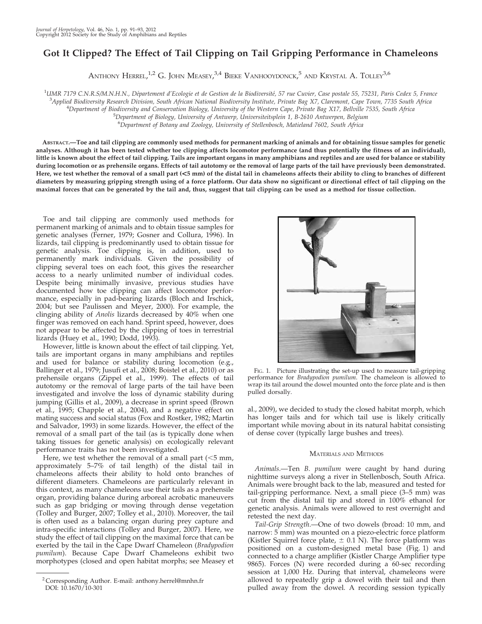# Got It Clipped? The Effect of Tail Clipping on Tail Gripping Performance in Chameleons

ANTHONY  ${\rm H}$ errel, $^{1,2}$  G. John Measey, $^{3,4}$  Bieke Vanhooydonck, $^5$  and Krystal A. Tolley $^{3,6}$ 

<sup>1</sup>UMR 7179 C.N.R.S/M.N.H.N., Département d'Ecologie et de Gestion de la Biodiversité, 57 rue Cuvier, Case postale 55, 75231, Paris Cedex 5, France 34 rulied Biodiversity Pessarch Division. South Africa

<sup>3</sup>Applied Biodiversity Research Division, South African National Biodiversity Institute, Private Bag X7, Claremont, Cape Town, 7735 South Africa

<sup>4</sup>Department of Biodiversity and Conservation Biology, University of the Western Cape, Private Bag X17, Bellville 7535, South Africa

<sup>5</sup>Department of Biology, University of Antwerp, Universiteitsplein 1, B-2610 Antwerpen, Belgium

6 Department of Botany and Zoology, University of Stellenbosch, Matieland 7602, South Africa

ABSTRACT.—Toe and tail clipping are commonly used methods for permanent marking of animals and for obtaining tissue samples for genetic analyses. Although it has been tested whether toe clipping affects locomotor performance (and thus potentially the fitness of an individual), little is known about the effect of tail clipping. Tails are important organs in many amphibians and reptiles and are used for balance or stability during locomotion or as prehensile organs. Effects of tail autotomy or the removal of large parts of the tail have previously been demonstrated. Here, we test whether the removal of a small part (<5 mm) of the distal tail in chameleons affects their ability to cling to branches of different diameters by measuring gripping strength using of a force platform. Our data show no significant or directional effect of tail clipping on the maximal forces that can be generated by the tail and, thus, suggest that tail clipping can be used as a method for tissue collection.

Toe and tail clipping are commonly used methods for permanent marking of animals and to obtain tissue samples for genetic analyses (Ferner, 1979; Gosner and Collura, 1996). In lizards, tail clipping is predominantly used to obtain tissue for genetic analysis. Toe clipping is, in addition, used to permanently mark individuals. Given the possibility of clipping several toes on each foot, this gives the researcher access to a nearly unlimited number of individual codes. Despite being minimally invasive, previous studies have documented how toe clipping can affect locomotor performance, especially in pad-bearing lizards (Bloch and Irschick, 2004; but see Paulissen and Meyer, 2000). For example, the clinging ability of Anolis lizards decreased by 40% when one finger was removed on each hand. Sprint speed, however, does not appear to be affected by the clipping of toes in terrestrial lizards (Huey et al., 1990; Dodd, 1993).

However, little is known about the effect of tail clipping. Yet, tails are important organs in many amphibians and reptiles and used for balance or stability during locomotion (e.g., Ballinger et al., 1979; Jusufi et al., 2008; Boistel et al., 2010) or as prehensile organs (Zippel et al., 1999). The effects of tail autotomy or the removal of large parts of the tail have been investigated and involve the loss of dynamic stability during jumping (Gillis et al., 2009), a decrease in sprint speed (Brown et al., 1995; Chapple et al., 2004), and a negative effect on mating success and social status (Fox and Rostker, 1982; Martin and Salvador, 1993) in some lizards. However, the effect of the removal of a small part of the tail (as is typically done when taking tissues for genetic analysis) on ecologically relevant performance traits has not been investigated.

Here, we test whether the removal of a small part  $(<5$  mm, approximately 5–7% of tail length) of the distal tail in chameleons affects their ability to hold onto branches of different diameters. Chameleons are particularly relevant in this context, as many chameleons use their tails as a prehensile organ, providing balance during arboreal acrobatic maneuvers such as gap bridging or moving through dense vegetation (Tolley and Burger, 2007; Tolley et al., 2010). Moreover, the tail is often used as a balancing organ during prey capture and intra-specific interactions (Tolley and Burger, 2007). Here, we study the effect of tail clipping on the maximal force that can be exerted by the tail in the Cape Dwarf Chameleon (Bradypodion pumilum). Because Cape Dwarf Chameleons exhibit two morphotypes (closed and open habitat morphs; see Measey et



FIG. 1. Picture illustrating the set-up used to measure tail-gripping performance for Bradypodion pumilum. The chameleon is allowed to wrap its tail around the dowel mounted onto the force plate and is then pulled dorsally.

al., 2009), we decided to study the closed habitat morph, which has longer tails and for which tail use is likely critically important while moving about in its natural habitat consisting of dense cover (typically large bushes and trees).

## MATERIALS AND METHODS

Animals.—Ten B. pumilum were caught by hand during nighttime surveys along a river in Stellenbosch, South Africa. Animals were brought back to the lab, measured and tested for tail-gripping performance. Next, a small piece (3–5 mm) was cut from the distal tail tip and stored in 100% ethanol for genetic analysis. Animals were allowed to rest overnight and retested the next day.

Tail-Grip Strength.—One of two dowels (broad: 10 mm, and narrow: 5 mm) was mounted on a piezo-electric force platform (Kistler Squirrel force plate,  $\pm$  0.1 N). The force platform was positioned on a custom-designed metal base (Fig. 1) and connected to a charge amplifier (Kistler Charge Amplifier type 9865). Forces (N) were recorded during a 60-sec recording session at 1,000 Hz. During that interval, chameleons were allowed to repeatedly grip a dowel with their tail and then pulled away from the dowel. A recording session typically

<sup>2</sup> Corresponding Author. E-mail: anthony.herrel@mnhn.fr DOI: 10.1670/10-301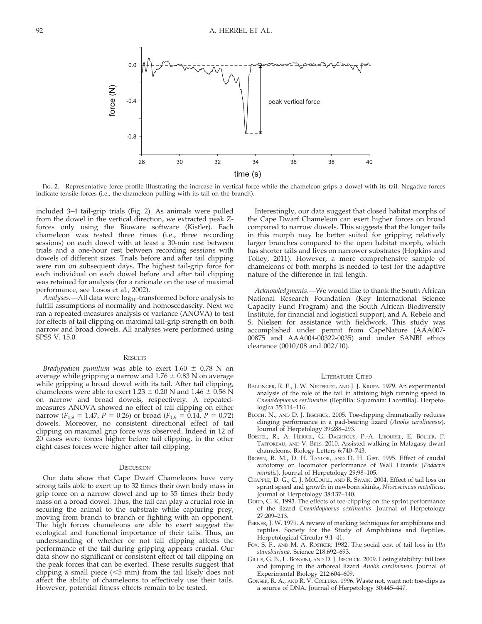

FIG. 2. Representative force profile illustrating the increase in vertical force while the chameleon grips a dowel with its tail. Negative forces indicate tensile forces (i.e., the chameleon pulling with its tail on the branch).

included 3–4 tail-grip trials (Fig. 2). As animals were pulled from the dowel in the vertical direction, we extracted peak Zforces only using the Bioware software (Kistler). Each chameleon was tested three times (i.e., three recording sessions) on each dowel with at least a 30-min rest between trials and a one-hour rest between recording sessions with dowels of different sizes. Trials before and after tail clipping were run on subsequent days. The highest tail-grip force for each individual on each dowel before and after tail clipping was retained for analysis (for a rationale on the use of maximal performance, see Losos et al., 2002).

Analyses.-All data were log<sub>10</sub>-transformed before analysis to fulfill assumptions of normality and homoscedascity. Next we ran a repeated-measures analysis of variance (ANOVA) to test for effects of tail clipping on maximal tail-grip strength on both narrow and broad dowels. All analyses were performed using SPSS V. 15.0.

## **RESULTS**

Bradypodion pumilum was able to exert  $1.60 \pm 0.78$  N on average while gripping a narrow and  $1.76 \pm 0.83$  N on average while gripping a broad dowel with its tail. After tail clipping, chameleons were able to exert  $1.23 \pm 0.20$  N and  $1.46 \pm 0.56$  N on narrow and broad dowels, respectively. A repeatedmeasures ANOVA showed no effect of tail clipping on either narrow ( $F_{1,9} = 1.47$ ,  $P = 0.26$ ) or broad ( $F_{1,9} = 0.14$ ,  $P = 0.72$ ) dowels. Moreover, no consistent directional effect of tail clipping on maximal grip force was observed. Indeed in 12 of 20 cases were forces higher before tail clipping, in the other eight cases forces were higher after tail clipping.

### **DISCUSSION**

Our data show that Cape Dwarf Chameleons have very strong tails able to exert up to 32 times their own body mass in grip force on a narrow dowel and up to 35 times their body mass on a broad dowel. Thus, the tail can play a crucial role in securing the animal to the substrate while capturing prey, moving from branch to branch or fighting with an opponent. The high forces chameleons are able to exert suggest the ecological and functional importance of their tails. Thus, an understanding of whether or not tail clipping affects the performance of the tail during gripping appears crucial. Our data show no significant or consistent effect of tail clipping on the peak forces that can be exerted. These results suggest that clipping a small piece  $(<5$  mm) from the tail likely does not affect the ability of chameleons to effectively use their tails. However, potential fitness effects remain to be tested.

Interestingly, our data suggest that closed habitat morphs of the Cape Dwarf Chameleon can exert higher forces on broad compared to narrow dowels. This suggests that the longer tails in this morph may be better suited for gripping relatively larger branches compared to the open habitat morph, which has shorter tails and lives on narrower substrates (Hopkins and Tolley, 2011). However, a more comprehensive sample of chameleons of both morphs is needed to test for the adaptive nature of the difference in tail length.

Acknowledgments.—We would like to thank the South African National Research Foundation (Key International Science Capacity Fund Program) and the South African Biodiversity Institute, for financial and logistical support, and A. Rebelo and S. Nielsen for assistance with fieldwork. This study was accomplished under permit from CapeNature (AAA007- 00875 and AAA004-00322-0035) and under SANBI ethics clearance (0010/08 and 002/10).

#### LITERATURE CITED

- BALLINGER, R. E., J. W. NIETFELDT, AND J. J. KRUPA. 1979. An experimental analysis of the role of the tail in attaining high running speed in Cnemidophorus sexlineatus (Reptilia: Squamata: Lacertilia). Herpetologica 35:114–116.
- BLOCH, N., AND D. J. IRSCHICK. 2005. Toe-clipping dramatically reduces clinging performance in a pad-bearing lizard (Anolis carolinensis). Journal of Herpetology 39:288–293.
- BOISTEL, R., A. HERREL, G. DAGHFOUS, P.-A. LIBOUREL, E. BOLLER, P. TAFFOREAU, AND V. BELS. 2010. Assisted walking in Malagasy dwarf chameleons. Biology Letters 6:740–743.
- BROWN, R. M., D. H. TAYLOR, AND D. H. GIST. 1995. Effect of caudal autotomy on locomotor performance of Wall Lizards (Podacris muralis). Journal of Herpetology 29:98–105.
- CHAPPLE, D. G., C. J. MCCOULL, AND R. SWAIN. 2004. Effect of tail loss on sprint speed and growth in newborn skinks, Niveoscincus metallicus. Journal of Herpetology 38:137–140.
- DODD, C. K. 1993. The effects of toe-clipping on the sprint performance of the lizard Cnemidophorus sexlineatus. Journal of Herpetology 27:209–213.
- FERNER, J. W. 1979. A review of marking techniques for amphibians and reptiles. Society for the Study of Amphibians and Reptiles. Herpetological Circular 9:1–41.
- FOX, S. F., AND M. A. ROSTKER. 1982. The social cost of tail loss in Uta stansburiana. Science 218:692–693.
- GILLIS, G. B., L. BONVINI, AND D. J. IRSCHICK. 2009. Losing stability: tail loss and jumping in the arboreal lizard Anolis carolinensis. Journal of Experimental Biology 212:604–609.
- GONSER, R. A., AND R. V. COLLURA. 1996. Waste not, want not: toe-clips as a source of DNA. Journal of Herpetology 30:445–447.